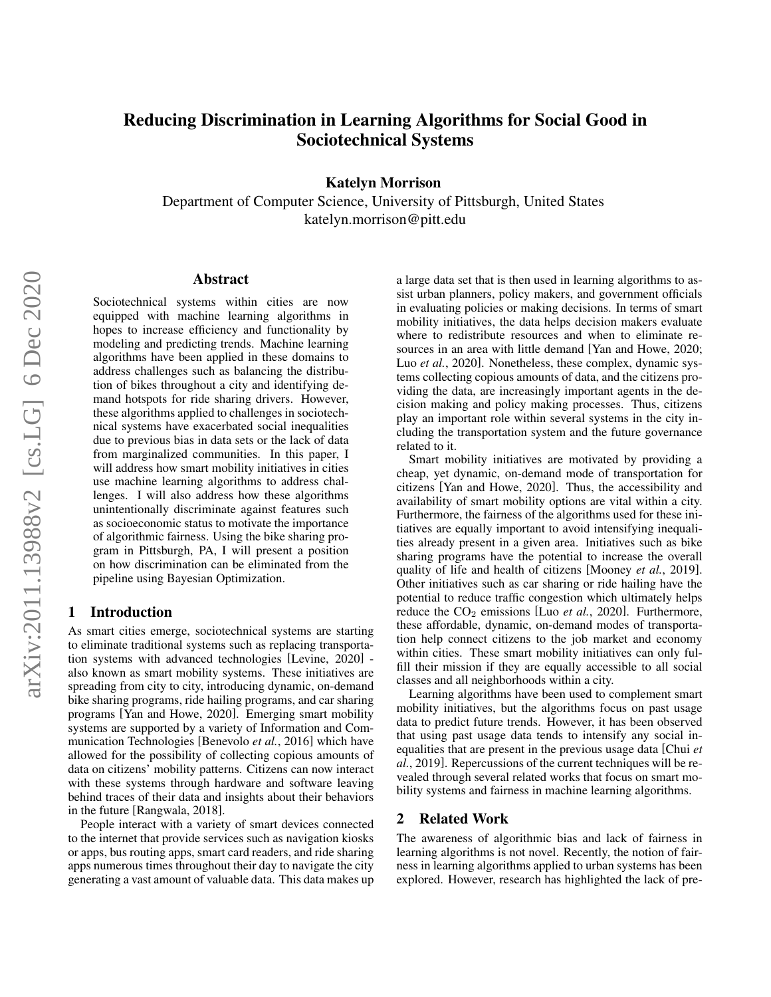# Reducing Discrimination in Learning Algorithms for Social Good in Sociotechnical Systems

Katelyn Morrison

Department of Computer Science, University of Pittsburgh, United States katelyn.morrison@pitt.edu

#### Abstract

Sociotechnical systems within cities are now equipped with machine learning algorithms in hopes to increase efficiency and functionality by modeling and predicting trends. Machine learning algorithms have been applied in these domains to address challenges such as balancing the distribution of bikes throughout a city and identifying demand hotspots for ride sharing drivers. However, these algorithms applied to challenges in sociotechnical systems have exacerbated social inequalities due to previous bias in data sets or the lack of data from marginalized communities. In this paper, I will address how smart mobility initiatives in cities use machine learning algorithms to address challenges. I will also address how these algorithms unintentionally discriminate against features such as socioeconomic status to motivate the importance of algorithmic fairness. Using the bike sharing program in Pittsburgh, PA, I will present a position on how discrimination can be eliminated from the pipeline using Bayesian Optimization.

## 1 Introduction

As smart cities emerge, sociotechnical systems are starting to eliminate traditional systems such as replacing transportation systems with advanced technologies [\[Levine, 2020\]](#page-3-0) also known as smart mobility systems. These initiatives are spreading from city to city, introducing dynamic, on-demand bike sharing programs, ride hailing programs, and car sharing programs [\[Yan and Howe, 2020\]](#page-3-1). Emerging smart mobility systems are supported by a variety of Information and Communication Technologies [\[Benevolo](#page-3-2) *et al.*, 2016] which have allowed for the possibility of collecting copious amounts of data on citizens' mobility patterns. Citizens can now interact with these systems through hardware and software leaving behind traces of their data and insights about their behaviors in the future [\[Rangwala, 2018\]](#page-3-3).

People interact with a variety of smart devices connected to the internet that provide services such as navigation kiosks or apps, bus routing apps, smart card readers, and ride sharing apps numerous times throughout their day to navigate the city generating a vast amount of valuable data. This data makes up a large data set that is then used in learning algorithms to assist urban planners, policy makers, and government officials in evaluating policies or making decisions. In terms of smart mobility initiatives, the data helps decision makers evaluate where to redistribute resources and when to eliminate resources in an area with little demand [\[Yan and Howe, 2020;](#page-3-1) Luo et al.[, 2020\]](#page-3-4). Nonetheless, these complex, dynamic systems collecting copious amounts of data, and the citizens providing the data, are increasingly important agents in the decision making and policy making processes. Thus, citizens play an important role within several systems in the city including the transportation system and the future governance related to it.

Smart mobility initiatives are motivated by providing a cheap, yet dynamic, on-demand mode of transportation for citizens [\[Yan and Howe, 2020\]](#page-3-1). Thus, the accessibility and availability of smart mobility options are vital within a city. Furthermore, the fairness of the algorithms used for these initiatives are equally important to avoid intensifying inequalities already present in a given area. Initiatives such as bike sharing programs have the potential to increase the overall quality of life and health of citizens [\[Mooney](#page-3-5) *et al.*, 2019]. Other initiatives such as car sharing or ride hailing have the potential to reduce traffic congestion which ultimately helps reduce the CO<sub>2</sub> emissions [Luo *et al.*[, 2020\]](#page-3-4). Furthermore, these affordable, dynamic, on-demand modes of transportation help connect citizens to the job market and economy within cities. These smart mobility initiatives can only fulfill their mission if they are equally accessible to all social classes and all neighborhoods within a city.

Learning algorithms have been used to complement smart mobility initiatives, but the algorithms focus on past usage data to predict future trends. However, it has been observed that using past usage data tends to intensify any social inequalities that are present in the previous usage data [\[Chui](#page-3-6) *et al.*[, 2019\]](#page-3-6). Repercussions of the current techniques will be revealed through several related works that focus on smart mobility systems and fairness in machine learning algorithms.

## 2 Related Work

The awareness of algorithmic bias and lack of fairness in learning algorithms is not novel. Recently, the notion of fairness in learning algorithms applied to urban systems has been explored. However, research has highlighted the lack of pre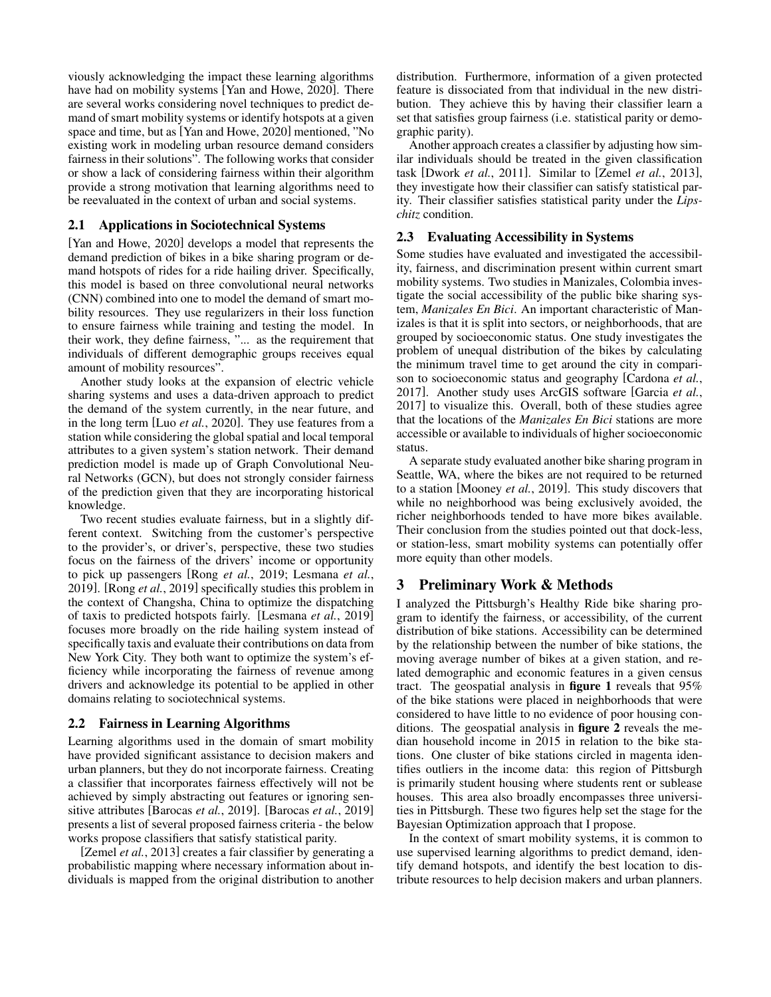viously acknowledging the impact these learning algorithms have had on mobility systems [\[Yan and Howe, 2020\]](#page-3-1). There are several works considering novel techniques to predict demand of smart mobility systems or identify hotspots at a given space and time, but as [\[Yan and Howe, 2020\]](#page-3-1) mentioned, "No existing work in modeling urban resource demand considers fairness in their solutions". The following works that consider or show a lack of considering fairness within their algorithm provide a strong motivation that learning algorithms need to be reevaluated in the context of urban and social systems.

## 2.1 Applications in Sociotechnical Systems

[\[Yan and Howe, 2020\]](#page-3-1) develops a model that represents the demand prediction of bikes in a bike sharing program or demand hotspots of rides for a ride hailing driver. Specifically, this model is based on three convolutional neural networks (CNN) combined into one to model the demand of smart mobility resources. They use regularizers in their loss function to ensure fairness while training and testing the model. In their work, they define fairness, "... as the requirement that individuals of different demographic groups receives equal amount of mobility resources".

Another study looks at the expansion of electric vehicle sharing systems and uses a data-driven approach to predict the demand of the system currently, in the near future, and in the long term [Luo *et al.*[, 2020\]](#page-3-4). They use features from a station while considering the global spatial and local temporal attributes to a given system's station network. Their demand prediction model is made up of Graph Convolutional Neural Networks (GCN), but does not strongly consider fairness of the prediction given that they are incorporating historical knowledge.

Two recent studies evaluate fairness, but in a slightly different context. Switching from the customer's perspective to the provider's, or driver's, perspective, these two studies focus on the fairness of the drivers' income or opportunity to pick up passengers [Rong *et al.*[, 2019;](#page-3-7) [Lesmana](#page-3-8) *et al.*, [2019\]](#page-3-8). [Rong *et al.*[, 2019\]](#page-3-7) specifically studies this problem in the context of Changsha, China to optimize the dispatching of taxis to predicted hotspots fairly. [\[Lesmana](#page-3-8) *et al.*, 2019] focuses more broadly on the ride hailing system instead of specifically taxis and evaluate their contributions on data from New York City. They both want to optimize the system's efficiency while incorporating the fairness of revenue among drivers and acknowledge its potential to be applied in other domains relating to sociotechnical systems.

# 2.2 Fairness in Learning Algorithms

Learning algorithms used in the domain of smart mobility have provided significant assistance to decision makers and urban planners, but they do not incorporate fairness. Creating a classifier that incorporates fairness effectively will not be achieved by simply abstracting out features or ignoring sensitive attributes [\[Barocas](#page-3-9) *et al.*, 2019]. [\[Barocas](#page-3-9) *et al.*, 2019] presents a list of several proposed fairness criteria - the below works propose classifiers that satisfy statistical parity.

[\[Zemel](#page-3-10) *et al.*, 2013] creates a fair classifier by generating a probabilistic mapping where necessary information about individuals is mapped from the original distribution to another distribution. Furthermore, information of a given protected feature is dissociated from that individual in the new distribution. They achieve this by having their classifier learn a set that satisfies group fairness (i.e. statistical parity or demographic parity).

Another approach creates a classifier by adjusting how similar individuals should be treated in the given classification task [\[Dwork](#page-3-11) *et al.*, 2011]. Similar to [Zemel *et al.*[, 2013\]](#page-3-10), they investigate how their classifier can satisfy statistical parity. Their classifier satisfies statistical parity under the *Lipschitz* condition.

# 2.3 Evaluating Accessibility in Systems

Some studies have evaluated and investigated the accessibility, fairness, and discrimination present within current smart mobility systems. Two studies in Manizales, Colombia investigate the social accessibility of the public bike sharing system, *Manizales En Bici*. An important characteristic of Manizales is that it is split into sectors, or neighborhoods, that are grouped by socioeconomic status. One study investigates the problem of unequal distribution of the bikes by calculating the minimum travel time to get around the city in comparison to socioeconomic status and geography [\[Cardona](#page-3-12) *et al.*, [2017\]](#page-3-12). Another study uses ArcGIS software [\[Garcia](#page-3-13) *et al.*, [2017\]](#page-3-13) to visualize this. Overall, both of these studies agree that the locations of the *Manizales En Bici* stations are more accessible or available to individuals of higher socioeconomic status.

A separate study evaluated another bike sharing program in Seattle, WA, where the bikes are not required to be returned to a station [\[Mooney](#page-3-5) *et al.*, 2019]. This study discovers that while no neighborhood was being exclusively avoided, the richer neighborhoods tended to have more bikes available. Their conclusion from the studies pointed out that dock-less, or station-less, smart mobility systems can potentially offer more equity than other models.

# 3 Preliminary Work & Methods

I analyzed the Pittsburgh's Healthy Ride bike sharing program to identify the fairness, or accessibility, of the current distribution of bike stations. Accessibility can be determined by the relationship between the number of bike stations, the moving average number of bikes at a given station, and related demographic and economic features in a given census tract. The geospatial analysis in figure 1 reveals that 95% of the bike stations were placed in neighborhoods that were considered to have little to no evidence of poor housing conditions. The geospatial analysis in figure 2 reveals the median household income in 2015 in relation to the bike stations. One cluster of bike stations circled in magenta identifies outliers in the income data: this region of Pittsburgh is primarily student housing where students rent or sublease houses. This area also broadly encompasses three universities in Pittsburgh. These two figures help set the stage for the Bayesian Optimization approach that I propose.

In the context of smart mobility systems, it is common to use supervised learning algorithms to predict demand, identify demand hotspots, and identify the best location to distribute resources to help decision makers and urban planners.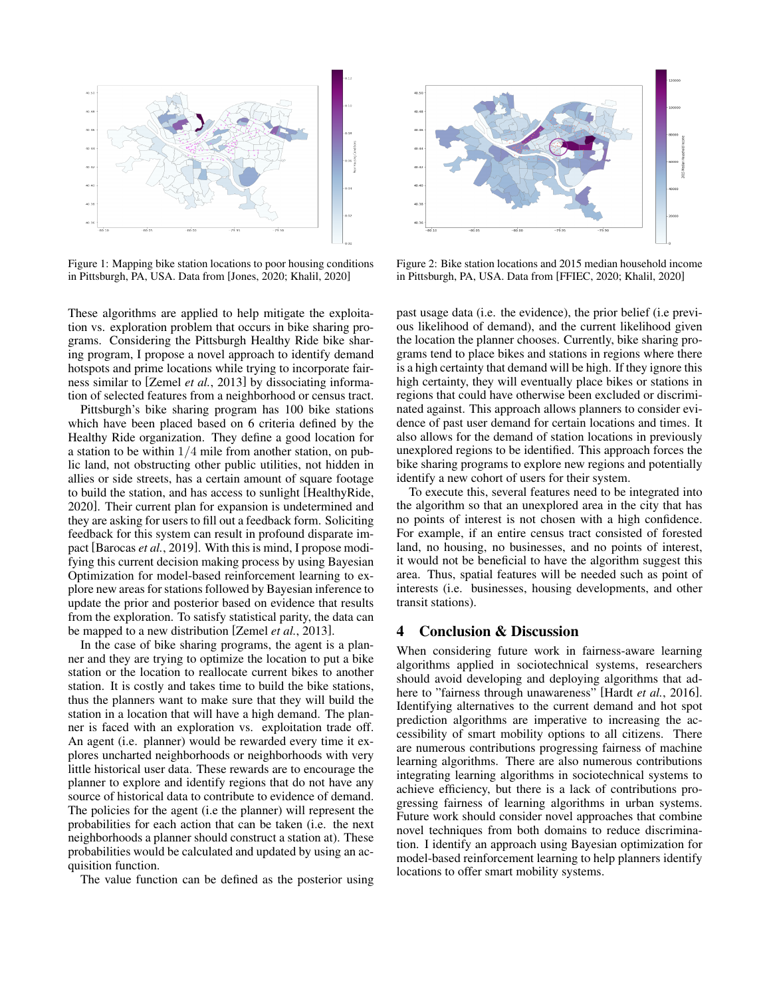

Figure 1: Mapping bike station locations to poor housing conditions in Pittsburgh, PA, USA. Data from [\[Jones, 2020;](#page-3-14) [Khalil, 2020\]](#page-3-15)

These algorithms are applied to help mitigate the exploitation vs. exploration problem that occurs in bike sharing programs. Considering the Pittsburgh Healthy Ride bike sharing program, I propose a novel approach to identify demand hotspots and prime locations while trying to incorporate fairness similar to [Zemel *et al.*[, 2013\]](#page-3-10) by dissociating information of selected features from a neighborhood or census tract.

Pittsburgh's bike sharing program has 100 bike stations which have been placed based on 6 criteria defined by the Healthy Ride organization. They define a good location for a station to be within 1/4 mile from another station, on public land, not obstructing other public utilities, not hidden in allies or side streets, has a certain amount of square footage to build the station, and has access to sunlight [\[HealthyRide,](#page-3-16) [2020\]](#page-3-16). Their current plan for expansion is undetermined and they are asking for users to fill out a feedback form. Soliciting feedback for this system can result in profound disparate impact [\[Barocas](#page-3-9) *et al.*, 2019]. With this is mind, I propose modifying this current decision making process by using Bayesian Optimization for model-based reinforcement learning to explore new areas for stations followed by Bayesian inference to update the prior and posterior based on evidence that results from the exploration. To satisfy statistical parity, the data can be mapped to a new distribution [\[Zemel](#page-3-10) *et al.*, 2013].

In the case of bike sharing programs, the agent is a planner and they are trying to optimize the location to put a bike station or the location to reallocate current bikes to another station. It is costly and takes time to build the bike stations, thus the planners want to make sure that they will build the station in a location that will have a high demand. The planner is faced with an exploration vs. exploitation trade off. An agent (i.e. planner) would be rewarded every time it explores uncharted neighborhoods or neighborhoods with very little historical user data. These rewards are to encourage the planner to explore and identify regions that do not have any source of historical data to contribute to evidence of demand. The policies for the agent (i.e the planner) will represent the probabilities for each action that can be taken (i.e. the next neighborhoods a planner should construct a station at). These probabilities would be calculated and updated by using an acquisition function.

The value function can be defined as the posterior using



Figure 2: Bike station locations and 2015 median household income in Pittsburgh, PA, USA. Data from [\[FFIEC, 2020;](#page-3-17) [Khalil, 2020\]](#page-3-15)

past usage data (i.e. the evidence), the prior belief (i.e previous likelihood of demand), and the current likelihood given the location the planner chooses. Currently, bike sharing programs tend to place bikes and stations in regions where there is a high certainty that demand will be high. If they ignore this high certainty, they will eventually place bikes or stations in regions that could have otherwise been excluded or discriminated against. This approach allows planners to consider evidence of past user demand for certain locations and times. It also allows for the demand of station locations in previously unexplored regions to be identified. This approach forces the bike sharing programs to explore new regions and potentially identify a new cohort of users for their system.

To execute this, several features need to be integrated into the algorithm so that an unexplored area in the city that has no points of interest is not chosen with a high confidence. For example, if an entire census tract consisted of forested land, no housing, no businesses, and no points of interest, it would not be beneficial to have the algorithm suggest this area. Thus, spatial features will be needed such as point of interests (i.e. businesses, housing developments, and other transit stations).

# 4 Conclusion & Discussion

When considering future work in fairness-aware learning algorithms applied in sociotechnical systems, researchers should avoid developing and deploying algorithms that adhere to "fairness through unawareness" [Hardt *et al.*[, 2016\]](#page-3-18). Identifying alternatives to the current demand and hot spot prediction algorithms are imperative to increasing the accessibility of smart mobility options to all citizens. There are numerous contributions progressing fairness of machine learning algorithms. There are also numerous contributions integrating learning algorithms in sociotechnical systems to achieve efficiency, but there is a lack of contributions progressing fairness of learning algorithms in urban systems. Future work should consider novel approaches that combine novel techniques from both domains to reduce discrimination. I identify an approach using Bayesian optimization for model-based reinforcement learning to help planners identify locations to offer smart mobility systems.